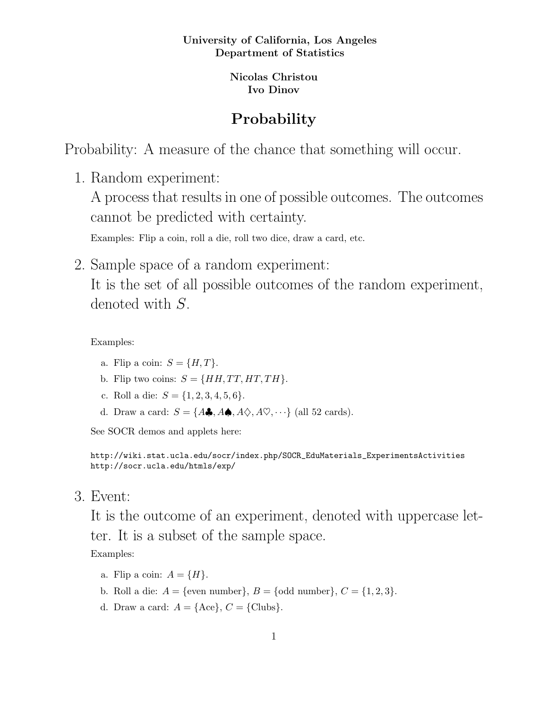## University of California, Los Angeles Department of Statistics

Nicolas Christou Ivo Dinov

## Probability

Probability: A measure of the chance that something will occur.

1. Random experiment:

A process that results in one of possible outcomes. The outcomes cannot be predicted with certainty.

Examples: Flip a coin, roll a die, roll two dice, draw a card, etc.

2. Sample space of a random experiment:

It is the set of all possible outcomes of the random experiment, denoted with S.

Examples:

- a. Flip a coin:  $S = \{H, T\}$ .
- b. Flip two coins:  $S = \{HH, TT, HT, TH\}.$
- c. Roll a die:  $S = \{1, 2, 3, 4, 5, 6\}.$
- d. Draw a card:  $S = \{A\clubsuit, A\spadesuit, A\diamondsuit, A\heartsuit, \cdots\}$  (all 52 cards).

See SOCR demos and applets here:

```
http://wiki.stat.ucla.edu/socr/index.php/SOCR_EduMaterials_ExperimentsActivities
http://socr.ucla.edu/htmls/exp/
```
3. Event:

It is the outcome of an experiment, denoted with uppercase letter. It is a subset of the sample space.

Examples:

- a. Flip a coin:  $A = \{H\}.$
- b. Roll a die:  $A = \{\text{even number}\}, B = \{\text{odd number}\}, C = \{1, 2, 3\}.$
- d. Draw a card:  $A = \{ \text{Acc} \}, C = \{ \text{Clubs} \}.$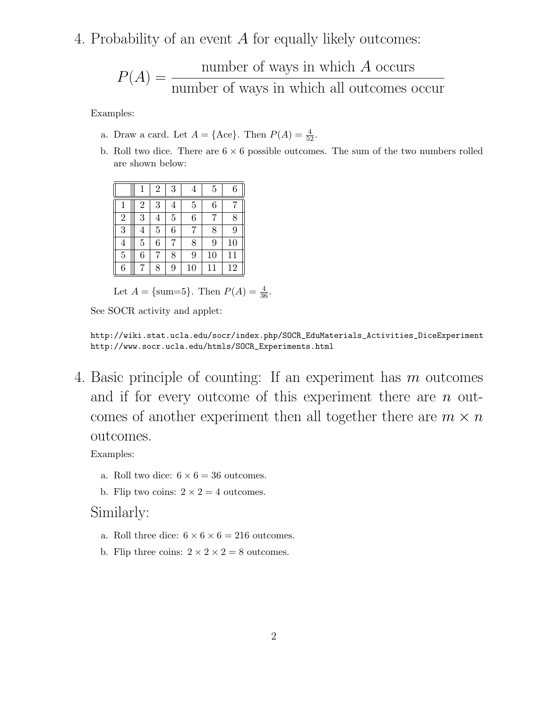4. Probability of an event A for equally likely outcomes:

$$
P(A) = \frac{\text{number of ways in which } A \text{ occurs}}{\text{number of ways in which all outcomes occur}}
$$

Examples:

- a. Draw a card. Let  $A = \{\text{Acc}\}\$ . Then  $P(A) = \frac{4}{52}$ .
- b. Roll two dice. There are  $6 \times 6$  possible outcomes. The sum of the two numbers rolled are shown below:

|                |                | $\overline{2}$ | 3 | 4              | 5  | 6  |
|----------------|----------------|----------------|---|----------------|----|----|
| $\mathbf{1}$   | $\overline{2}$ | 3              | 4 | $\overline{5}$ | 6  |    |
| $\overline{2}$ | 3              | $\overline{4}$ | 5 | 6              | 7  | 8  |
| 3              | 4              | $\overline{5}$ | 6 |                | 8  | 9  |
| $\overline{4}$ | 5              | 6              |   | 8              | 9  | 10 |
| $\overline{5}$ | 6              | 7              | 8 | 9              | 10 | 11 |
| 6              |                | 8              | 9 | 10             | 11 | 12 |

Let  $A = \{\text{sum=5}\}\.$  Then  $P(A) = \frac{4}{36}$ .

See SOCR activity and applet:

http://wiki.stat.ucla.edu/socr/index.php/SOCR\_EduMaterials\_Activities\_DiceExperiment http://www.socr.ucla.edu/htmls/SOCR\_Experiments.html

4. Basic principle of counting: If an experiment has m outcomes and if for every outcome of this experiment there are  $n$  outcomes of another experiment then all together there are  $m \times n$ outcomes.

Examples:

- a. Roll two dice:  $6 \times 6 = 36$  outcomes.
- b. Flip two coins:  $2 \times 2 = 4$  outcomes.

## Similarly:

- a. Roll three dice:  $6 \times 6 \times 6 = 216$  outcomes.
- b. Flip three coins:  $2 \times 2 \times 2 = 8$  outcomes.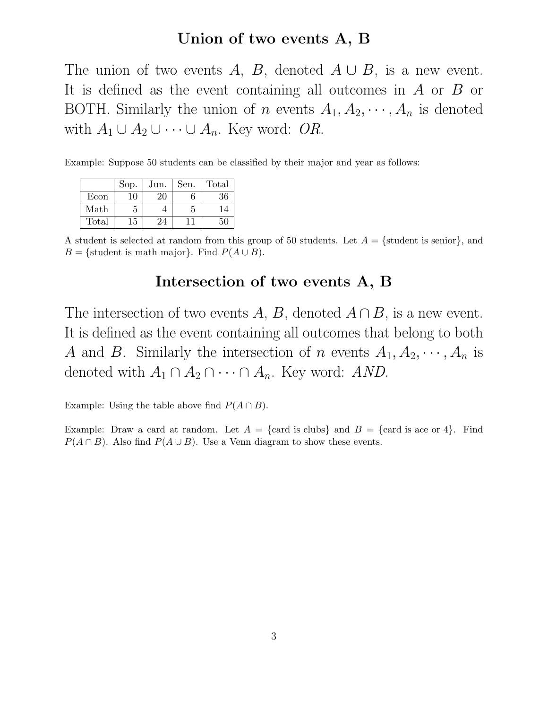## Union of two events A, B

The union of two events A, B, denoted  $A \cup B$ , is a new event. It is defined as the event containing all outcomes in A or B or BOTH. Similarly the union of n events  $A_1, A_2, \dots, A_n$  is denoted with  $A_1 \cup A_2 \cup \cdots \cup A_n$ . Key word: OR.

Example: Suppose 50 students can be classified by their major and year as follows:

|       | Sop. | Jun. | Sen. | Total |
|-------|------|------|------|-------|
| Econ  | 10   | 20   |      | 36    |
| Math  |      |      | 5    | 14    |
| Total | 15   | 24   |      | 50    |

A student is selected at random from this group of 50 students. Let  $A = \{\text{student is senior}\}\text{, and}$ B = {student is math major}. Find  $P(A \cup B)$ .

## Intersection of two events A, B

The intersection of two events A, B, denoted  $A \cap B$ , is a new event. It is defined as the event containing all outcomes that belong to both A and B. Similarly the intersection of n events  $A_1, A_2, \dots, A_n$  is denoted with  $A_1 \cap A_2 \cap \cdots \cap A_n$ . Key word: AND.

Example: Using the table above find  $P(A \cap B)$ .

Example: Draw a card at random. Let  $A = \{ \text{card is clubs} \}$  and  $B = \{ \text{card is ace or 4} \}$ . Find  $P(A \cap B)$ . Also find  $P(A \cup B)$ . Use a Venn diagram to show these events.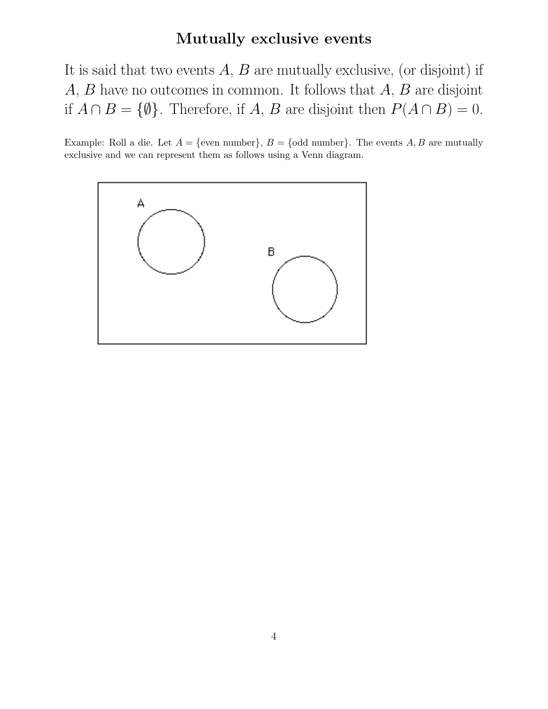# Mutually exclusive events

It is said that two events  $A, B$  are mutually exclusive, (or disjoint) if  $A, B$  have no outcomes in common. It follows that  $A, B$  are disjoint if  $A \cap B = \{\emptyset\}$ . Therefore, if A, B are disjoint then  $P(A \cap B) = 0$ .

Example: Roll a die. Let  $A = \{\text{even number}\}\$ ,  $B = \{\text{odd number}\}\$ . The events A, B are mutually exclusive and we can represent them as follows using a Venn diagram.

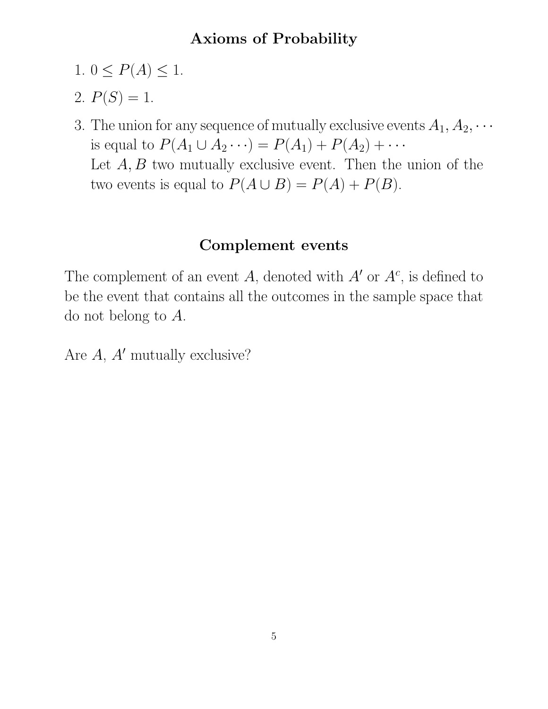# Axioms of Probability

- 1.  $0 \leq P(A) \leq 1$ .
- 2.  $P(S) = 1$ .
- 3. The union for any sequence of mutually exclusive events  $A_1, A_2, \cdots$ is equal to  $P(A_1 \cup A_2 \cdots) = P(A_1) + P(A_2) + \cdots$ Let  $A, B$  two mutually exclusive event. Then the union of the two events is equal to  $P(A \cup B) = P(A) + P(B)$ .

# Complement events

The complement of an event A, denoted with  $A'$  or  $A<sup>c</sup>$ , is defined to be the event that contains all the outcomes in the sample space that do not belong to A.

Are  $A$ ,  $A'$  mutually exclusive?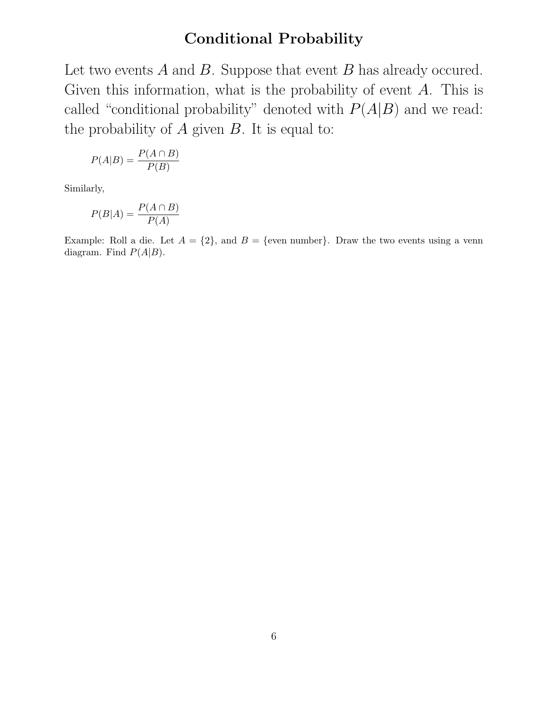# Conditional Probability

Let two events  $A$  and  $B$ . Suppose that event  $B$  has already occured. Given this information, what is the probability of event  $A$ . This is called "conditional probability" denoted with  $P(A|B)$  and we read: the probability of  $A$  given  $B$ . It is equal to:

$$
P(A|B) = \frac{P(A \cap B)}{P(B)}
$$

Similarly,

$$
P(B|A) = \frac{P(A \cap B)}{P(A)}
$$

Example: Roll a die. Let  $A = \{2\}$ , and  $B = \{$ even number $\}$ . Draw the two events using a venn diagram. Find  $P(A|B)$ .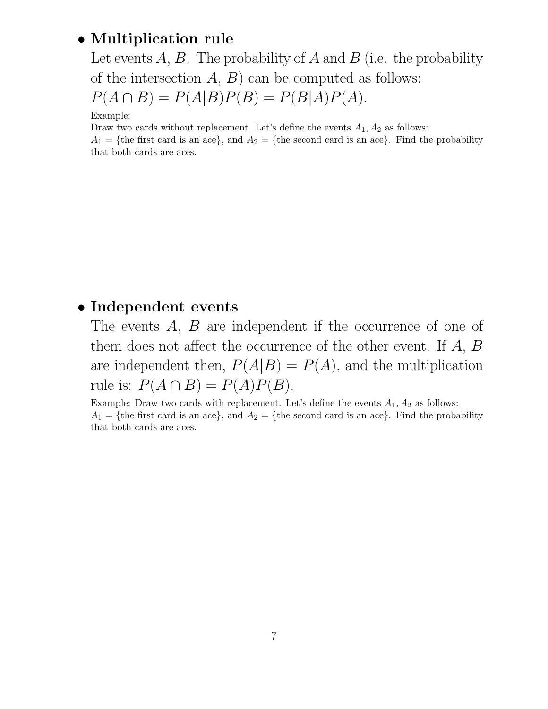## • Multiplication rule

Let events  $A, B$ . The probability of  $A$  and  $B$  (i.e. the probability of the intersection  $A, B$  can be computed as follows:  $P(A \cap B) = P(A|B)P(B) = P(B|A)P(A).$ 

Example:

Draw two cards without replacement. Let's define the events  $A_1, A_2$  as follows:

 $A_1 = \{$ the first card is an ace}, and  $A_2 = \{$ the second card is an ace}. Find the probability that both cards are aces.

## • Independent events

The events A, B are independent if the occurrence of one of them does not affect the occurrence of the other event. If A, B are independent then,  $P(A|B) = P(A)$ , and the multiplication rule is:  $P(A \cap B) = P(A)P(B)$ .

Example: Draw two cards with replacement. Let's define the events  $A_1, A_2$  as follows:  $A_1 = \{$ the first card is an ace}, and  $A_2 = \{$ the second card is an ace}. Find the probability that both cards are aces.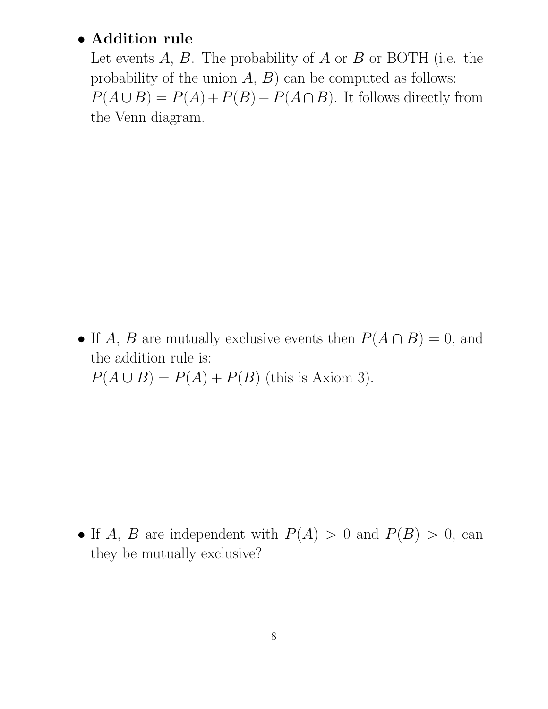## • Addition rule

Let events  $A, B$ . The probability of  $A$  or  $B$  or BOTH (i.e. the probability of the union  $A, B$  can be computed as follows:  $P(A \cup B) = P(A) + P(B) - P(A \cap B)$ . It follows directly from the Venn diagram.

• If A, B are mutually exclusive events then  $P(A \cap B) = 0$ , and the addition rule is:  $P(A \cup B) = P(A) + P(B)$  (this is Axiom 3).

• If A, B are independent with  $P(A) > 0$  and  $P(B) > 0$ , can they be mutually exclusive?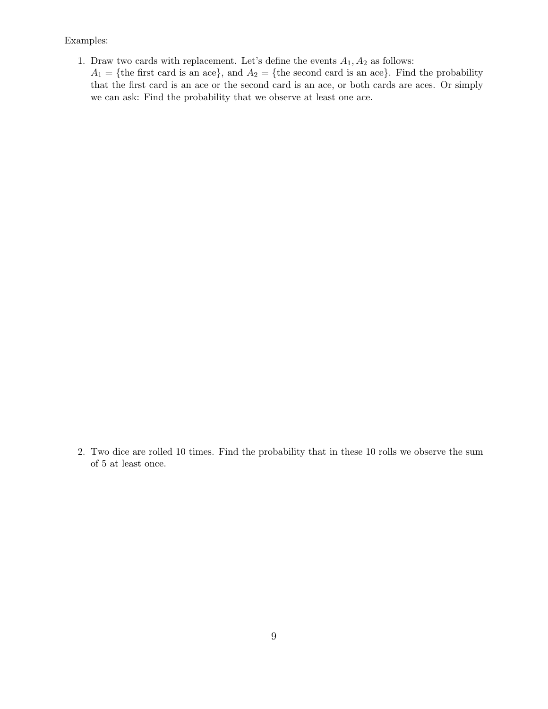Examples:

- 1. Draw two cards with replacement. Let's define the events  $A_1, A_2$  as follows:
	- $A_1 = \{$ the first card is an ace}, and  $A_2 = \{$ the second card is an ace}. Find the probability that the first card is an ace or the second card is an ace, or both cards are aces. Or simply we can ask: Find the probability that we observe at least one ace.

2. Two dice are rolled 10 times. Find the probability that in these 10 rolls we observe the sum of 5 at least once.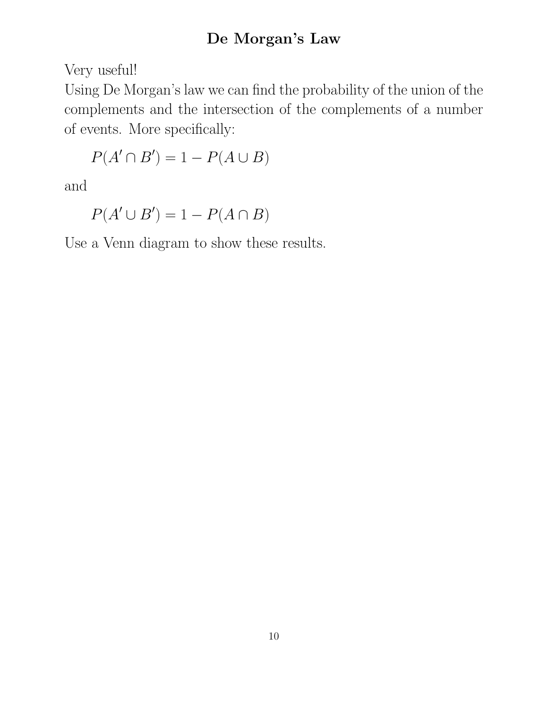# De Morgan's Law

Very useful!

Using De Morgan's law we can find the probability of the union of the complements and the intersection of the complements of a number of events. More specifically:

$$
P(A' \cap B') = 1 - P(A \cup B)
$$

and

 $P(A' \cup B') = 1 - P(A \cap B)$ 

Use a Venn diagram to show these results.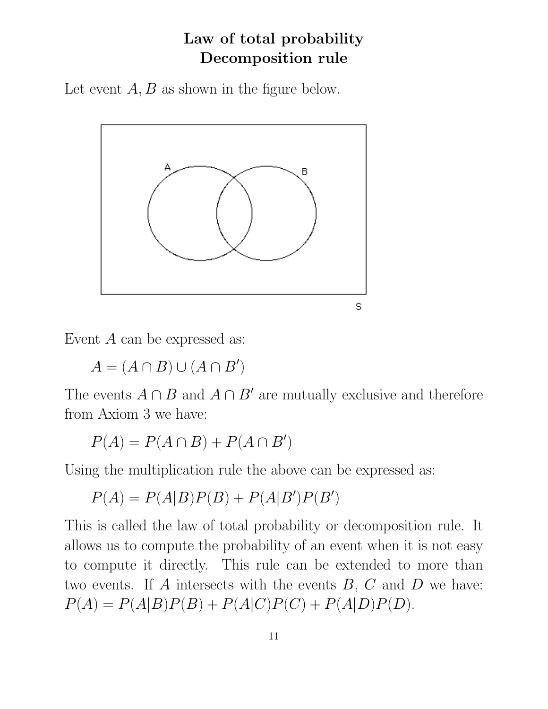# Law of total probability Decomposition rule

Let event  $A, B$  as shown in the figure below.



Event A can be expressed as:

 $A = (A \cap B) \cup (A \cap B')$ 

The events  $A \cap B$  and  $A \cap B'$  are mutually exclusive and therefore from Axiom 3 we have:

 $P(A) = P(A \cap B) + P(A \cap B')$ 

Using the multiplication rule the above can be expressed as:

 $P(A) = P(A|B)P(B) + P(A|B')P(B')$ 

This is called the law of total probability or decomposition rule. It allows us to compute the probability of an event when it is not easy to compute it directly. This rule can be extended to more than two events. If  $A$  intersects with the events  $B, C$  and  $D$  we have:  $P(A) = P(A|B)P(B) + P(A|C)P(C) + P(A|D)P(D).$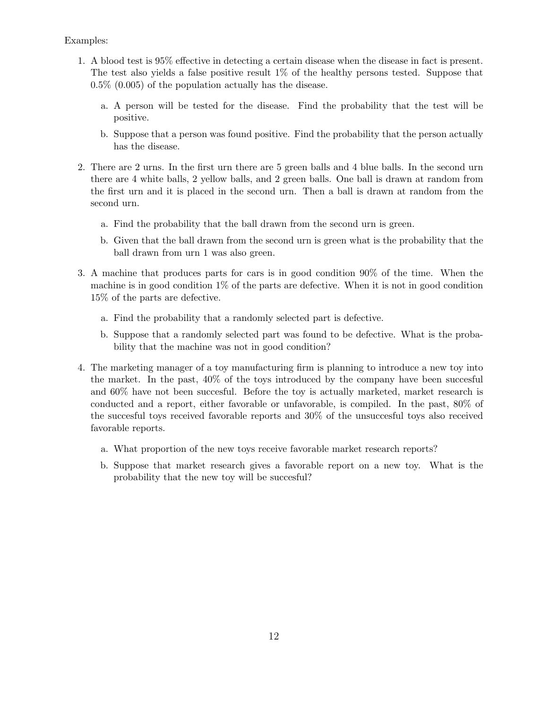- 1. A blood test is 95% effective in detecting a certain disease when the disease in fact is present. The test also yields a false positive result 1% of the healthy persons tested. Suppose that 0.5% (0.005) of the population actually has the disease.
	- a. A person will be tested for the disease. Find the probability that the test will be positive.
	- b. Suppose that a person was found positive. Find the probability that the person actually has the disease.
- 2. There are 2 urns. In the first urn there are 5 green balls and 4 blue balls. In the second urn there are 4 white balls, 2 yellow balls, and 2 green balls. One ball is drawn at random from the first urn and it is placed in the second urn. Then a ball is drawn at random from the second urn.
	- a. Find the probability that the ball drawn from the second urn is green.
	- b. Given that the ball drawn from the second urn is green what is the probability that the ball drawn from urn 1 was also green.
- 3. A machine that produces parts for cars is in good condition 90% of the time. When the machine is in good condition 1% of the parts are defective. When it is not in good condition 15% of the parts are defective.
	- a. Find the probability that a randomly selected part is defective.
	- b. Suppose that a randomly selected part was found to be defective. What is the probability that the machine was not in good condition?
- 4. The marketing manager of a toy manufacturing firm is planning to introduce a new toy into the market. In the past, 40% of the toys introduced by the company have been succesful and 60% have not been succesful. Before the toy is actually marketed, market research is conducted and a report, either favorable or unfavorable, is compiled. In the past, 80% of the succesful toys received favorable reports and 30% of the unsuccesful toys also received favorable reports.
	- a. What proportion of the new toys receive favorable market research reports?
	- b. Suppose that market research gives a favorable report on a new toy. What is the probability that the new toy will be succesful?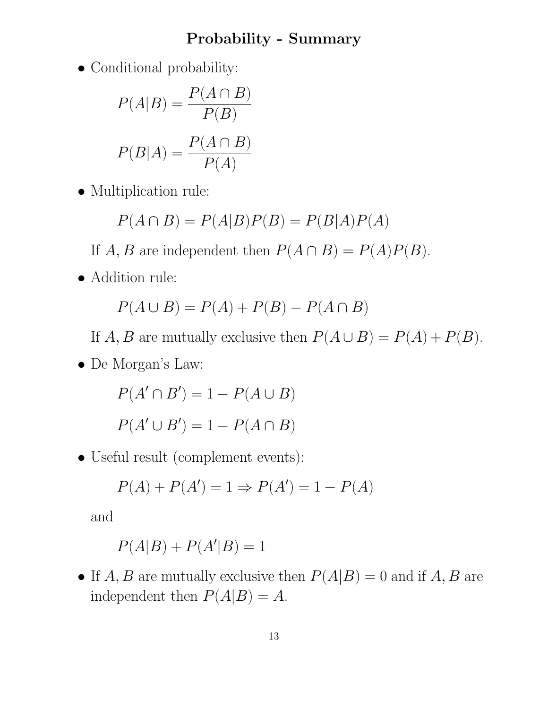## Probability - Summary

• Conditional probability:

$$
P(A|B) = \frac{P(A \cap B)}{P(B)}
$$

$$
P(B|A) = \frac{P(A \cap B)}{P(A)}
$$

• Multiplication rule:

$$
P(A \cap B) = P(A|B)P(B) = P(B|A)P(A)
$$

If  $A, B$  are independent then  $P(A \cap B) = P(A)P(B)$ .

• Addition rule:

$$
P(A \cup B) = P(A) + P(B) - P(A \cap B)
$$

If A, B are mutually exclusive then  $P(A \cup B) = P(A) + P(B)$ .

• De Morgan's Law:

 $P(A' \cap B') = 1 - P(A \cup B)$  $P(A' \cup B') = 1 - P(A \cap B)$ 

• Useful result (complement events):

$$
P(A) + P(A') = 1 \Rightarrow P(A') = 1 - P(A)
$$

and

$$
P(A|B) + P(A'|B) = 1
$$

• If  $A, B$  are mutually exclusive then  $P(A|B) = 0$  and if  $A, B$  are independent then  $P(A|B) = A$ .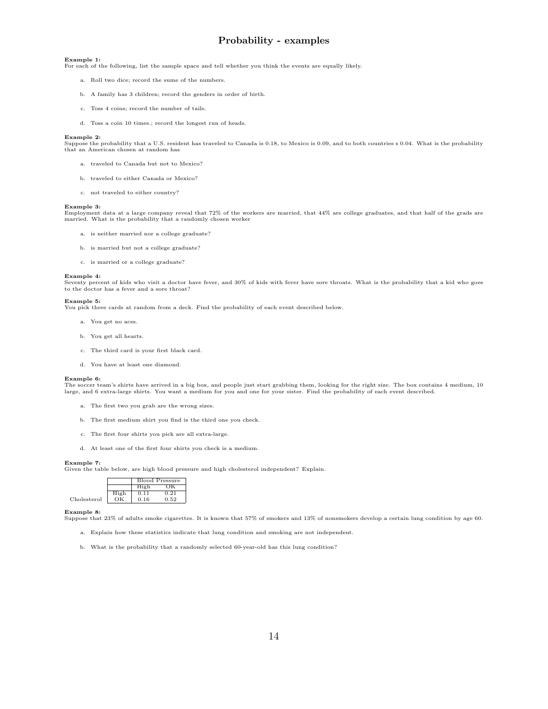## Probability - examples

#### Example 1:

For each of the following, list the sample space and tell whether you think the events are equally likely.

- a. Roll two dice; record the sume of the numbers.
- b. A family has 3 children; record the genders in order of birth.
- c. Toss 4 coins; record the number of tails.
- d. Toss a coin 10 times.; record the longest run of heads.

#### Example 2:

Suppose the probability that a U.S. resident has traveled to Canada is 0.18, to Mexico is 0.09, and to both countries s 0.04. What is the probability that an American chosen at random has

- a. traveled to Canada but not to Mexico?
- b. traveled to either Canada or Mexico?
- c. not traveled to either country?

#### Example 3:

Employment data at a large company reveal that 72% of the workers are married, that 44% are college graduates, and that half of the grads are married. What is the probability that a randomly chosen worker

- a. is neither married nor a college graduate?
- b. is married but not a college graduate?
- c. is married or a college graduate?

#### Example 4:

Seventy percent of kids who visit a doctor have fever, and 30% of kids with fever have sore throats. What is the probability that a kid who goes to the doctor has a fever and a sore throat?

#### Example 5:

You pick three cards at random from a deck. Find the probability of each event described below.

- a. You get no aces.
- b. You get all hearts.
- c. The third card is your first black card.
- d. You have at least one diamond.

#### Example 6:

The soccer team's shirts have arrived in a big box, and people just start grabbing them, looking for the right size. The box contains 4 medium, 10 large, and 6 extra-large shirts. You want a medium for you and one for your sister. Find the probability of each event described.

- a. The first two you grab are the wrong sizes.
- b. The first medium shirt you find is the third one you check.
- c. The first four shirts you pick are all extra-large.
- d. At least one of the first four shirts you check is a medium.

#### Example 7:

Given the table below, are high blood pressure and high cholesterol independent? Explain.

|             |      | <b>Blood Pressure</b> |      |
|-------------|------|-----------------------|------|
|             |      | High                  |      |
|             | High | D 11                  | ነ 91 |
| Cholesterol |      | 0.16                  | 0.52 |

#### Example 8:

Suppose that 23% of adults smoke cigarettes. It is known that 57% of smokers and 13% of nonsmokers develop a certain lung condition by age 60.

- a. Explain how these statistics indicate that lung condition and smoking are not independent.
- b. What is the probability that a randomly selected 60-year-old has this lung condition?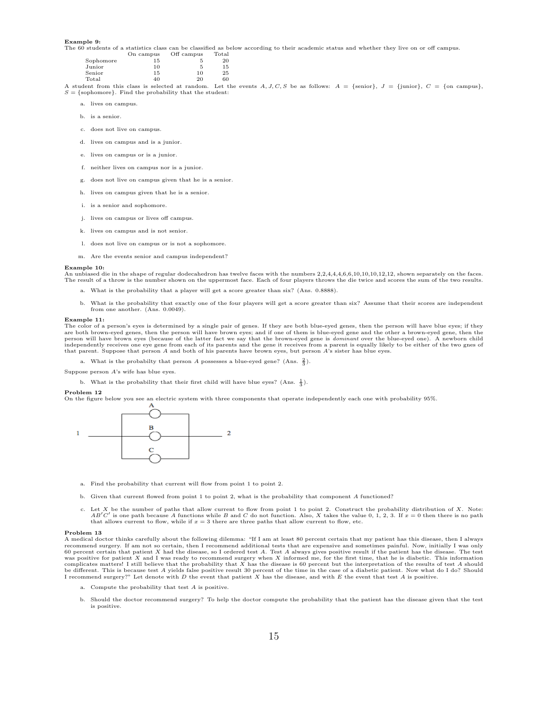#### Example 9:

The 60 students of a statistics class can be classified as below according to their academic status and whether they live on or off campus.

|           | On campus | Off campus | Total |
|-----------|-----------|------------|-------|
| Sophomore | 15        | Ð          | 20    |
| Junior    | 10        | 5          | 15    |
| Senior    | 15        | 10         | 25    |
| Total     | 40        | 20         | 60    |

A student from this class is selected at random. Let the events A, J, C, S be as follows:  $A = \{\text{senior}\}\$ ,  $J = \{\text{junior}\}\$ ,  $C = \{\text{on campus}\}\$  $S = \{\text{sophone}\}\.$  Find the probability that the student:

- a. lives on campus.
- b. is a senior.
- c. does not live on campus.
- d. lives on campus and is a junior.
- e. lives on campus or is a junior.
- f. neither lives on campus nor is a junior.
- g. does not live on campus given that he is a senior.
- h. lives on campus given that he is a senior.
- i. is a senior and sophomore.
- j. lives on campus or lives off campus.
- k. lives on campus and is not senior.
- l. does not live on campus or is not a sophomore.
- m. Are the events senior and campus independent?

#### Example 10:

An unbiased die in the shape of regular dodecahedron has twelve faces with the numbers 2,2,4,4,4,6,6,10,10,10,12,12, shown separately on the faces. The result of a throw is the number shown on the uppermost face. Each of four players throws the die twice and scores the sum of the two results.

- a. What is the probability that a player will get a score greater than six? (Ans. 0.8888).
- b. What is the probability that exactly one of the four players will get a score greater than six? Assume that their scores are independent from one another. (Ans. 0.0049).

#### Example 11:

The color of a person's eyes is determined by a single pair of genes. If they are both blue-eyed genes, then the person will have blue eyes; if they are both brown-eyed genes, then the person will have brown eyes; and if one of them is blue-eyed gene and the other a brown-eyed gene, then the<br>person will have brown eyes (because of the latter fact we say that the brownindependently receives one eye gene from each of its parents and the gene it receives from a parent is equally likely to be either of the two gnes of that parent. Suppose that person A and both of his parents have brown eyes, but person A's sister has blue eyes.

a. What is the probabilty that person A possesses a blue-eyed gene? (Ans.  $\frac{2}{3}$ ).

Suppose person A's wife has blue eyes.

b. What is the probability that their first child will have blue eyes? (Ans.  $\frac{1}{3}$ ).

#### Problem 12

On the figure below you see an electric system with three components that operate independently each one with probability 95%.



- a. Find the probability that current will flow from point 1 to point 2.
- b. Given that current flowed from point 1 to point 2, what is the probability that component A functioned?
- c. Let X be the number of paths that allow current to flow from point 1 to point 2. Construct the probability distribution of X. Note:<br> $AB'C'$  is one path because A functions while B and C do not function. Also, X takes the that allows current to flow, while if  $x = 3$  there are three paths that allow current to flow, etc.

#### Problem 13

A medical doctor thinks carefully about the following dilemma: "If I am at least 80 percent certain that my patient has this disease, then I always recommend surgery. If am not so certain, then I recommend additional tests that are expensive and sometimes painful. Now, initially I was only 60 percent certain that patient X had the disease, so I ordered test A. Test A always gives positive result if the patient has the disease. The test<br>was positive for patient X and I was ready to recommend surgery when X in complicates matters! I still believe that the probability that  $\bar{X}$  has the disease is 60 percent but the interpretation of the results of test A should be different. This is because test A yields false positive result 30 percent of the time in the case of a diabetic patient. Now what do I do? Should<br>I recommend surgery?" Let denote with D the event that patient X has the

- a. Compute the probability that test A is positive.
- b. Should the doctor recommend surgery? To help the doctor compute the probability that the patient has the disease given that the test is positive.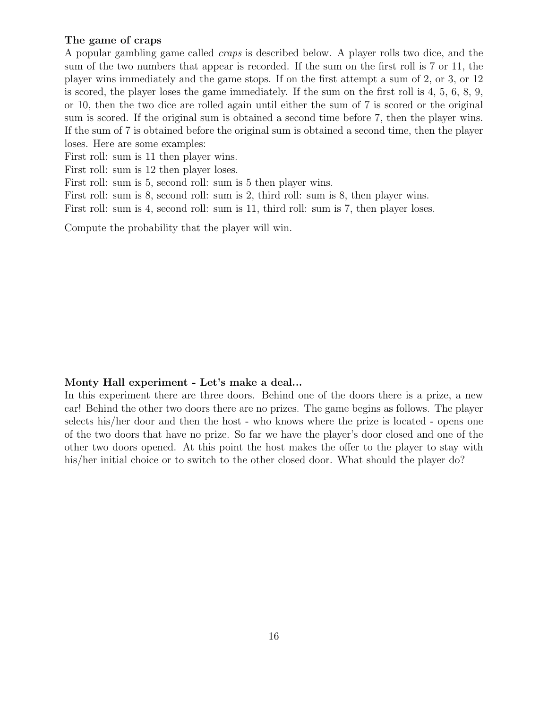### The game of craps

A popular gambling game called craps is described below. A player rolls two dice, and the sum of the two numbers that appear is recorded. If the sum on the first roll is 7 or 11, the player wins immediately and the game stops. If on the first attempt a sum of 2, or 3, or 12 is scored, the player loses the game immediately. If the sum on the first roll is 4, 5, 6, 8, 9, or 10, then the two dice are rolled again until either the sum of 7 is scored or the original sum is scored. If the original sum is obtained a second time before 7, then the player wins. If the sum of 7 is obtained before the original sum is obtained a second time, then the player loses. Here are some examples:

First roll: sum is 11 then player wins.

First roll: sum is 12 then player loses.

First roll: sum is 5, second roll: sum is 5 then player wins.

First roll: sum is 8, second roll: sum is 2, third roll: sum is 8, then player wins.

First roll: sum is 4, second roll: sum is 11, third roll: sum is 7, then player loses.

Compute the probability that the player will win.

### Monty Hall experiment - Let's make a deal...

In this experiment there are three doors. Behind one of the doors there is a prize, a new car! Behind the other two doors there are no prizes. The game begins as follows. The player selects his/her door and then the host - who knows where the prize is located - opens one of the two doors that have no prize. So far we have the player's door closed and one of the other two doors opened. At this point the host makes the offer to the player to stay with his/her initial choice or to switch to the other closed door. What should the player do?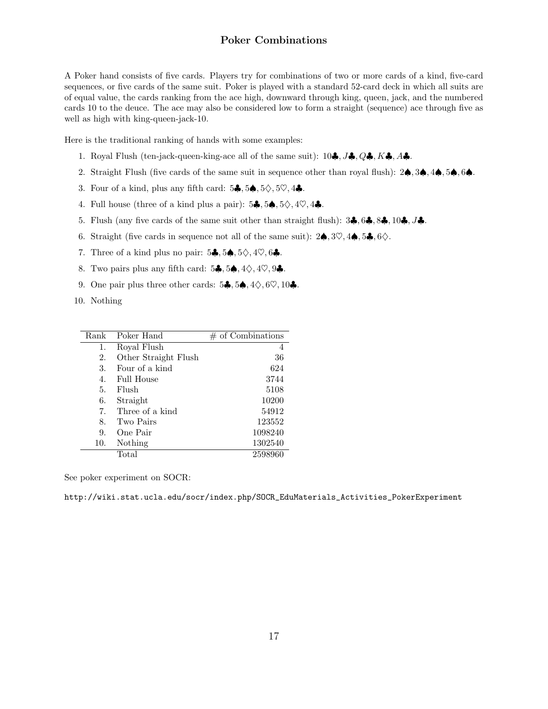### Poker Combinations

A Poker hand consists of five cards. Players try for combinations of two or more cards of a kind, five-card sequences, or five cards of the same suit. Poker is played with a standard 52-card deck in which all suits are of equal value, the cards ranking from the ace high, downward through king, queen, jack, and the numbered cards 10 to the deuce. The ace may also be considered low to form a straight (sequence) ace through five as well as high with king-queen-jack-10.

Here is the traditional ranking of hands with some examples:

- 1. Royal Flush (ten-jack-queen-king-ace all of the same suit):  $10\clubsuit, J\clubsuit, Q\clubsuit, K\clubsuit, A\clubsuit$ .
- 2. Straight Flush (five cards of the same suit in sequence other than royal flush): 2♠, 3♠, 4♠, 5♠, 6♠.
- 3. Four of a kind, plus any fifth card:  $5\clubsuit, 5\spadesuit, 5\diamondsuit, 5\heartsuit, 4\clubsuit$ .
- 4. Full house (three of a kind plus a pair):  $5\clubsuit, 5\spadesuit, 5\diamondsuit, 4\heartsuit, 4\clubsuit$ .
- 5. Flush (any five cards of the same suit other than straight flush):  $3\clubsuit$ ,  $6\clubsuit$ ,  $8\clubsuit$ ,  $10\clubsuit$ ,  $J\clubsuit$ .
- 6. Straight (five cards in sequence not all of the same suit):  $2\spadesuit$ ,  $3\heartsuit$ ,  $4\spadesuit$ ,  $5\clubsuit$ ,  $6\diamondsuit$ .
- 7. Three of a kind plus no pair:  $5\clubsuit, 5\spadesuit, 5\diamondsuit, 4\heartsuit, 6\clubsuit$ .
- 8. Two pairs plus any fifth card:  $5\clubsuit, 5\spadesuit, 4\diamondsuit, 4\heartsuit, 9\clubsuit$ .
- 9. One pair plus three other cards:  $5\clubsuit$ ,  $5\spadesuit$ ,  $4\diamondsuit$ ,  $6\heartsuit$ ,  $10\clubsuit$ .
- 10. Nothing

| Rank | Poker Hand           | $#$ of Combinations |
|------|----------------------|---------------------|
| 1.   | Royal Flush          | 4                   |
| 2.   | Other Straight Flush | 36                  |
| 3.   | Four of a kind       | 624                 |
| 4.   | <b>Full House</b>    | 3744                |
| 5.   | Flush                | 5108                |
| 6.   | Straight             | 10200               |
| 7.   | Three of a kind      | 54912               |
| 8.   | Two Pairs            | 123552              |
| 9.   | One Pair             | 1098240             |
| 10.  | Nothing              | 1302540             |
|      | Total                | 2598960             |

See poker experiment on SOCR:

http://wiki.stat.ucla.edu/socr/index.php/SOCR\_EduMaterials\_Activities\_PokerExperiment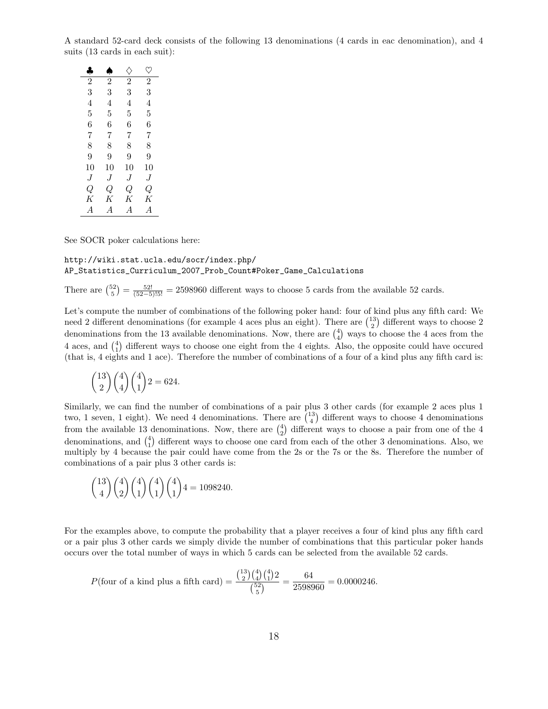A standard 52-card deck consists of the following 13 denominations (4 cards in eac denomination), and 4 suits (13 cards in each suit):

| ♣              | A              | ♦              | v              |
|----------------|----------------|----------------|----------------|
| $\overline{2}$ | $\overline{2}$ | $\overline{2}$ | $\overline{2}$ |
| 3              | 3              | 3              | 3              |
| 4              | 4              | 4              | 4              |
| 5              | 5              | 5              | 5              |
| 6              | 6              | 6              | 6              |
| 7              | 7              | 7              | 7              |
| 8              | 8              | 8              | 8              |
| 9              | 9              | 9              | 9              |
| 10             | 10             | 10             | 10             |
| J              | J              | J              | J              |
| Q              | Q              | Q              | Q              |
| Κ              | Κ              | Κ              | Κ              |
| A              | A              | $\overline{A}$ | A              |

See SOCR poker calculations here:

### http://wiki.stat.ucla.edu/socr/index.php/ AP\_Statistics\_Curriculum\_2007\_Prob\_Count#Poker\_Game\_Calculations

There are  $\binom{52}{5} = \frac{52!}{(52-5)!5!} = 2598960$  different ways to choose 5 cards from the available 52 cards.

Let's compute the number of combinations of the following poker hand: four of kind plus any fifth card: We need 2 different denominations (for example 4 aces plus an eight). There are  $\binom{13}{2}$  different ways to choose 2 denominations from the 13 available denominations. Now, there are  $\binom{4}{4}$  ways to choose the 4 aces from the 4 aces, and  $\binom{4}{1}$  different ways to choose one eight from the 4 eights. Also, the opposite could have occured (that is, 4 eights and 1 ace). Therefore the number of combinations of a four of a kind plus any fifth card is:

$$
\binom{13}{2}\binom{4}{4}\binom{4}{1}2 = 624.
$$

Similarly, we can find the number of combinations of a pair plus 3 other cards (for example 2 aces plus 1 two, 1 seven, 1 eight). We need 4 denominations. There are  $\binom{13}{4}$  different ways to choose 4 denominations from the available 13 denominations. Now, there are  $\binom{4}{2}$  different ways to choose a pair from one of the 4 denominations, and  $\binom{4}{1}$  different ways to choose one card from each of the other 3 denominations. Also, we multiply by 4 because the pair could have come from the 2s or the 7s or the 8s. Therefore the number of combinations of a pair plus 3 other cards is:

$$
\binom{13}{4}\binom{4}{2}\binom{4}{1}\binom{4}{1}\binom{4}{1}4 = 1098240.
$$

For the examples above, to compute the probability that a player receives a four of kind plus any fifth card or a pair plus 3 other cards we simply divide the number of combinations that this particular poker hands occurs over the total number of ways in which 5 cards can be selected from the available 52 cards.

$$
P(\text{four of a kind plus a fifth card}) = \frac{\binom{13}{2}\binom{4}{4}\binom{4}{1}2}{\binom{52}{5}} = \frac{64}{2598960} = 0.0000246.
$$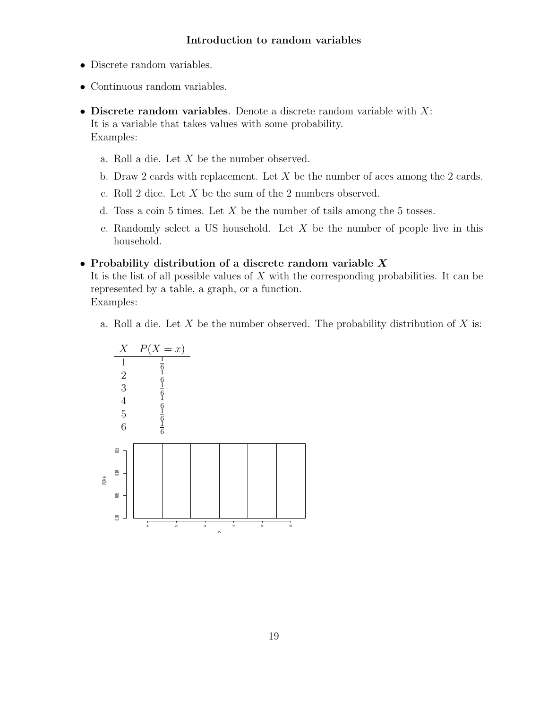## Introduction to random variables

- Discrete random variables.
- Continuous random variables.
- Discrete random variables. Denote a discrete random variable with  $X$ : It is a variable that takes values with some probability. Examples:
	- a. Roll a die. Let X be the number observed.
	- b. Draw 2 cards with replacement. Let  $X$  be the number of aces among the 2 cards.
	- c. Roll 2 dice. Let X be the sum of the 2 numbers observed.
	- d. Toss a coin 5 times. Let  $X$  be the number of tails among the 5 tosses.
	- e. Randomly select a US household. Let  $X$  be the number of people live in this household.

### • Probability distribution of a discrete random variable X

It is the list of all possible values of  $X$  with the corresponding probabilities. It can be represented by a table, a graph, or a function. Examples:

a. Roll a die. Let X be the number observed. The probability distribution of X is:

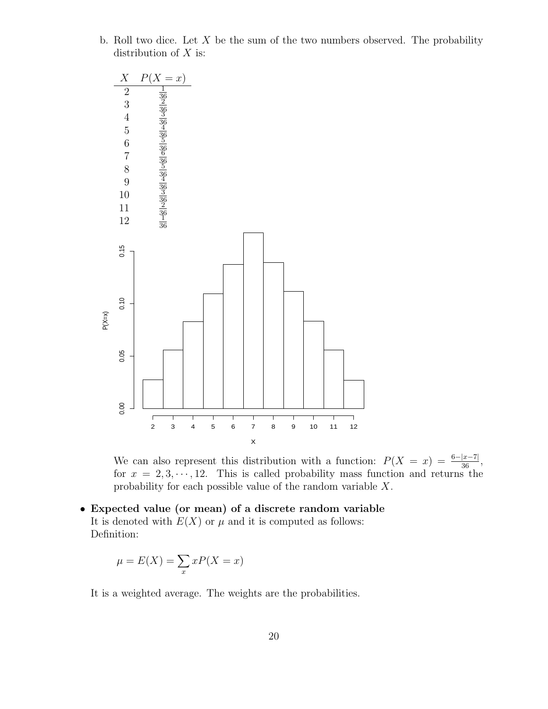b. Roll two dice. Let  $X$  be the sum of the two numbers observed. The probability distribution of  $X$  is:



We can also represent this distribution with a function:  $P(X = x) = \frac{6-|x-7|}{36}$ , for  $x = 2, 3, \dots, 12$ . This is called probability mass function and returns the probability for each possible value of the random variable X.

• Expected value (or mean) of a discrete random variable It is denoted with  $E(X)$  or  $\mu$  and it is computed as follows: Definition:

$$
\mu = E(X) = \sum_{x} xP(X = x)
$$

It is a weighted average. The weights are the probabilities.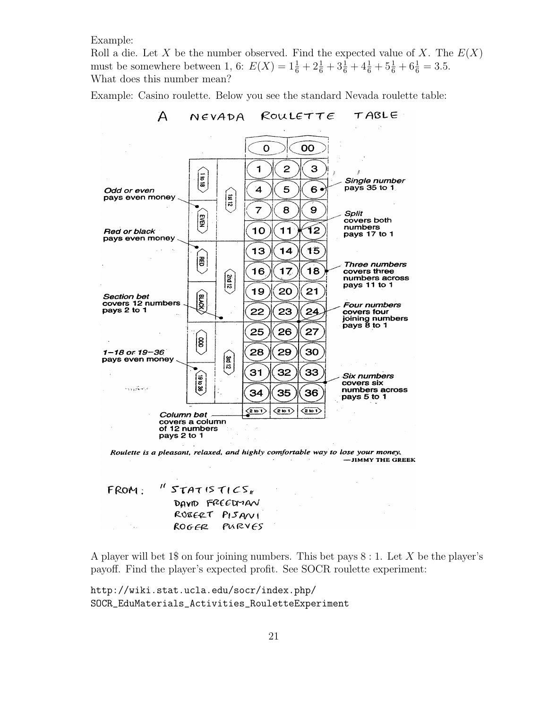Example:

Roll a die. Let X be the number observed. Find the expected value of X. The  $E(X)$ must be somewhere between 1, 6:  $E(X) = 1\frac{1}{6} + 2\frac{1}{6} + 3\frac{1}{6} + 4\frac{1}{6} + 5\frac{1}{6} + 6\frac{1}{6} = 3.5$ . What does this number mean?

Example: Casino roulette. Below you see the standard Nevada roulette table:



#### TABLE  $ROULETTE$  $N$  $\epsilon$  $V$  $A$  $D$  $A$

Roulette is a pleasant, relaxed, and highly comfortable way to lose your money. -JIMMY THE GREEK

 $^{\prime\prime}$  STATISTICS, FROM: DAVID FREEDMAN RUBERT PISANI ROGER PURVES

A player will bet 1\$ on four joining numbers. This bet pays  $8:1$ . Let X be the player's payoff. Find the player's expected profit. See SOCR roulette experiment:

http://wiki.stat.ucla.edu/socr/index.php/ SOCR\_EduMaterials\_Activities\_RouletteExperiment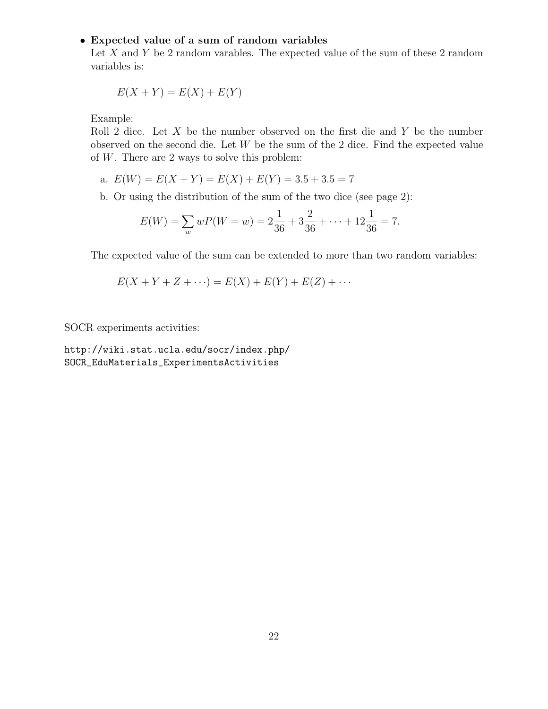## • Expected value of a sum of random variables

Let  $X$  and  $Y$  be 2 random varables. The expected value of the sum of these 2 random variables is:

$$
E(X + Y) = E(X) + E(Y)
$$

Example:

Roll 2 dice. Let  $X$  be the number observed on the first die and  $Y$  be the number observed on the second die. Let W be the sum of the 2 dice. Find the expected value of  $W$ . There are 2 ways to solve this problem:

a. 
$$
E(W) = E(X + Y) = E(X) + E(Y) = 3.5 + 3.5 = 7
$$

b. Or using the distribution of the sum of the two dice (see page 2):

$$
E(W) = \sum_{w} wP(W = w) = 2\frac{1}{36} + 3\frac{2}{36} + \dots + 12\frac{1}{36} = 7.
$$

The expected value of the sum can be extended to more than two random variables:

$$
E(X + Y + Z + \cdots) = E(X) + E(Y) + E(Z) + \cdots
$$

SOCR experiments activities:

http://wiki.stat.ucla.edu/socr/index.php/ SOCR\_EduMaterials\_ExperimentsActivities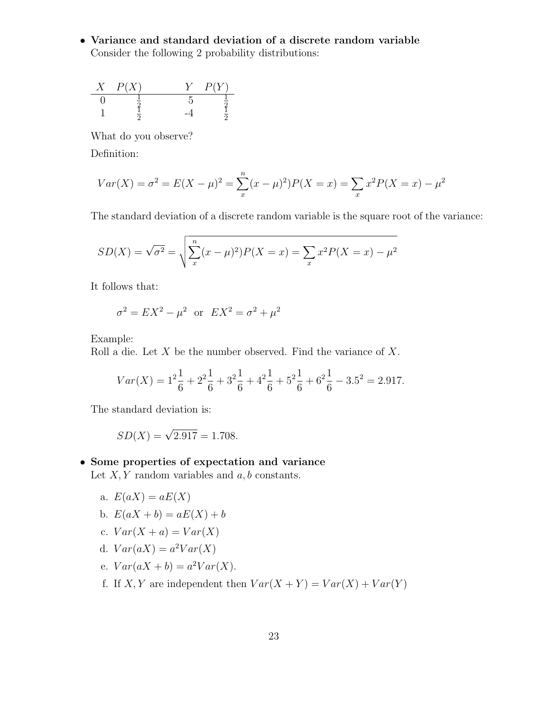• Variance and standard deviation of a discrete random variable Consider the following 2 probability distributions:



What do you observe?

Definition:

$$
Var(X) = \sigma^{2} = E(X - \mu)^{2} = \sum_{x}^{n} (x - \mu)^{2} P(X = x) = \sum_{x} x^{2} P(X = x) - \mu^{2}
$$

The standard deviation of a discrete random variable is the square root of the variance:

$$
SD(X) = \sqrt{\sigma^2} = \sqrt{\sum_{x}^{n} (x - \mu)^2} P(X = x) = \sum_{x} x^2 P(X = x) - \mu^2
$$

It follows that:

$$
\sigma^2 = EX^2 - \mu^2
$$
 or  $EX^2 = \sigma^2 + \mu^2$ 

Example:

Roll a die. Let  $X$  be the number observed. Find the variance of  $X$ .

$$
Var(X) = 1^2 \frac{1}{6} + 2^2 \frac{1}{6} + 3^2 \frac{1}{6} + 4^2 \frac{1}{6} + 5^2 \frac{1}{6} + 6^2 \frac{1}{6} - 3.5^2 = 2.917.
$$

The standard deviation is:

$$
SD(X) = \sqrt{2.917} = 1.708.
$$

### • Some properties of expectation and variance

Let  $X, Y$  random variables and  $a, b$  constants.

- a.  $E(aX) = aE(X)$
- b.  $E(aX + b) = aE(X) + b$
- c.  $Var(X + a) = Var(X)$
- d.  $Var(aX) = a^2Var(X)$
- e.  $Var(aX + b) = a^2Var(X)$ .
- f. If X, Y are independent then  $Var(X + Y) = Var(X) + Var(Y)$